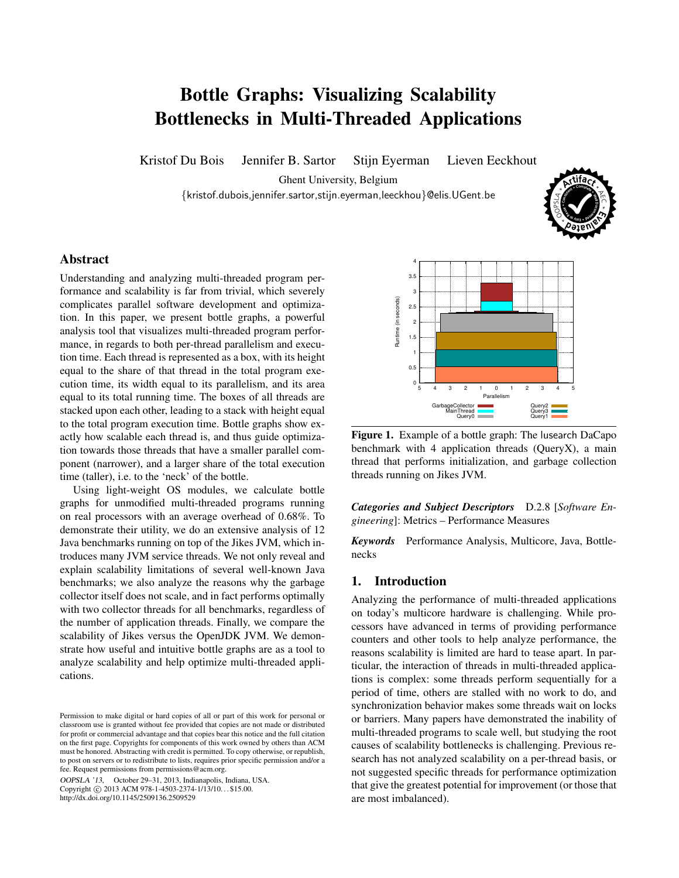# Bottle Graphs: Visualizing Scalability Bottlenecks in Multi-Threaded Applications

Kristof Du Bois Jennifer B. Sartor Stijn Eyerman Lieven Eeckhout

Ghent University, Belgium

{kristof.dubois,jennifer.sartor,stijn.eyerman,leeckhou}@elis.UGent.be



## Abstract

Understanding and analyzing multi-threaded program performance and scalability is far from trivial, which severely complicates parallel software development and optimization. In this paper, we present bottle graphs, a powerful analysis tool that visualizes multi-threaded program performance, in regards to both per-thread parallelism and execution time. Each thread is represented as a box, with its height equal to the share of that thread in the total program execution time, its width equal to its parallelism, and its area equal to its total running time. The boxes of all threads are stacked upon each other, leading to a stack with height equal to the total program execution time. Bottle graphs show exactly how scalable each thread is, and thus guide optimization towards those threads that have a smaller parallel component (narrower), and a larger share of the total execution time (taller), i.e. to the 'neck' of the bottle.

Using light-weight OS modules, we calculate bottle graphs for unmodified multi-threaded programs running on real processors with an average overhead of 0.68%. To demonstrate their utility, we do an extensive analysis of 12 Java benchmarks running on top of the Jikes JVM, which introduces many JVM service threads. We not only reveal and explain scalability limitations of several well-known Java benchmarks; we also analyze the reasons why the garbage collector itself does not scale, and in fact performs optimally with two collector threads for all benchmarks, regardless of the number of application threads. Finally, we compare the scalability of Jikes versus the OpenJDK JVM. We demonstrate how useful and intuitive bottle graphs are as a tool to analyze scalability and help optimize multi-threaded applications.

OOPSLA '13, October 29–31, 2013, Indianapolis, Indiana, USA. Copyright © 2013 ACM 978-1-4503-2374-1/13/10... \$15.00. http://dx.doi.org/10.1145/2509136.2509529



Figure 1. Example of a bottle graph: The lusearch DaCapo benchmark with 4 application threads (QueryX), a main thread that performs initialization, and garbage collection threads running on Jikes JVM.

*Categories and Subject Descriptors* D.2.8 [*Software Engineering*]: Metrics – Performance Measures

*Keywords* Performance Analysis, Multicore, Java, Bottlenecks

# 1. Introduction

Analyzing the performance of multi-threaded applications on today's multicore hardware is challenging. While processors have advanced in terms of providing performance counters and other tools to help analyze performance, the reasons scalability is limited are hard to tease apart. In particular, the interaction of threads in multi-threaded applications is complex: some threads perform sequentially for a period of time, others are stalled with no work to do, and synchronization behavior makes some threads wait on locks or barriers. Many papers have demonstrated the inability of multi-threaded programs to scale well, but studying the root causes of scalability bottlenecks is challenging. Previous research has not analyzed scalability on a per-thread basis, or not suggested specific threads for performance optimization that give the greatest potential for improvement (or those that are most imbalanced).

Permission to make digital or hard copies of all or part of this work for personal or classroom use is granted without fee provided that copies are not made or distributed for profit or commercial advantage and that copies bear this notice and the full citation on the first page. Copyrights for components of this work owned by others than ACM must be honored. Abstracting with credit is permitted. To copy otherwise, or republish, to post on servers or to redistribute to lists, requires prior specific permission and/or a fee. Request permissions from permissions@acm.org.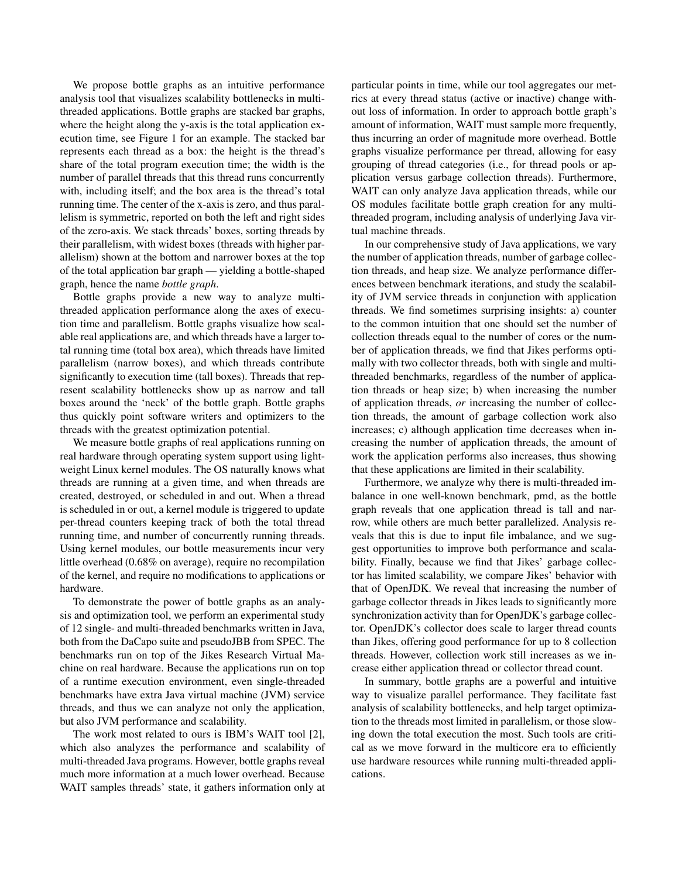We propose bottle graphs as an intuitive performance analysis tool that visualizes scalability bottlenecks in multithreaded applications. Bottle graphs are stacked bar graphs, where the height along the y-axis is the total application execution time, see Figure 1 for an example. The stacked bar represents each thread as a box: the height is the thread's share of the total program execution time; the width is the number of parallel threads that this thread runs concurrently with, including itself; and the box area is the thread's total running time. The center of the x-axis is zero, and thus parallelism is symmetric, reported on both the left and right sides of the zero-axis. We stack threads' boxes, sorting threads by their parallelism, with widest boxes (threads with higher parallelism) shown at the bottom and narrower boxes at the top of the total application bar graph — yielding a bottle-shaped graph, hence the name *bottle graph*.

Bottle graphs provide a new way to analyze multithreaded application performance along the axes of execution time and parallelism. Bottle graphs visualize how scalable real applications are, and which threads have a larger total running time (total box area), which threads have limited parallelism (narrow boxes), and which threads contribute significantly to execution time (tall boxes). Threads that represent scalability bottlenecks show up as narrow and tall boxes around the 'neck' of the bottle graph. Bottle graphs thus quickly point software writers and optimizers to the threads with the greatest optimization potential.

We measure bottle graphs of real applications running on real hardware through operating system support using lightweight Linux kernel modules. The OS naturally knows what threads are running at a given time, and when threads are created, destroyed, or scheduled in and out. When a thread is scheduled in or out, a kernel module is triggered to update per-thread counters keeping track of both the total thread running time, and number of concurrently running threads. Using kernel modules, our bottle measurements incur very little overhead (0.68% on average), require no recompilation of the kernel, and require no modifications to applications or hardware.

To demonstrate the power of bottle graphs as an analysis and optimization tool, we perform an experimental study of 12 single- and multi-threaded benchmarks written in Java, both from the DaCapo suite and pseudoJBB from SPEC. The benchmarks run on top of the Jikes Research Virtual Machine on real hardware. Because the applications run on top of a runtime execution environment, even single-threaded benchmarks have extra Java virtual machine (JVM) service threads, and thus we can analyze not only the application, but also JVM performance and scalability.

The work most related to ours is IBM's WAIT tool [2], which also analyzes the performance and scalability of multi-threaded Java programs. However, bottle graphs reveal much more information at a much lower overhead. Because WAIT samples threads' state, it gathers information only at particular points in time, while our tool aggregates our metrics at every thread status (active or inactive) change without loss of information. In order to approach bottle graph's amount of information, WAIT must sample more frequently, thus incurring an order of magnitude more overhead. Bottle graphs visualize performance per thread, allowing for easy grouping of thread categories (i.e., for thread pools or application versus garbage collection threads). Furthermore, WAIT can only analyze Java application threads, while our OS modules facilitate bottle graph creation for any multithreaded program, including analysis of underlying Java virtual machine threads.

In our comprehensive study of Java applications, we vary the number of application threads, number of garbage collection threads, and heap size. We analyze performance differences between benchmark iterations, and study the scalability of JVM service threads in conjunction with application threads. We find sometimes surprising insights: a) counter to the common intuition that one should set the number of collection threads equal to the number of cores or the number of application threads, we find that Jikes performs optimally with two collector threads, both with single and multithreaded benchmarks, regardless of the number of application threads or heap size; b) when increasing the number of application threads, *or* increasing the number of collection threads, the amount of garbage collection work also increases; c) although application time decreases when increasing the number of application threads, the amount of work the application performs also increases, thus showing that these applications are limited in their scalability.

Furthermore, we analyze why there is multi-threaded imbalance in one well-known benchmark, pmd, as the bottle graph reveals that one application thread is tall and narrow, while others are much better parallelized. Analysis reveals that this is due to input file imbalance, and we suggest opportunities to improve both performance and scalability. Finally, because we find that Jikes' garbage collector has limited scalability, we compare Jikes' behavior with that of OpenJDK. We reveal that increasing the number of garbage collector threads in Jikes leads to significantly more synchronization activity than for OpenJDK's garbage collector. OpenJDK's collector does scale to larger thread counts than Jikes, offering good performance for up to 8 collection threads. However, collection work still increases as we increase either application thread or collector thread count.

In summary, bottle graphs are a powerful and intuitive way to visualize parallel performance. They facilitate fast analysis of scalability bottlenecks, and help target optimization to the threads most limited in parallelism, or those slowing down the total execution the most. Such tools are critical as we move forward in the multicore era to efficiently use hardware resources while running multi-threaded applications.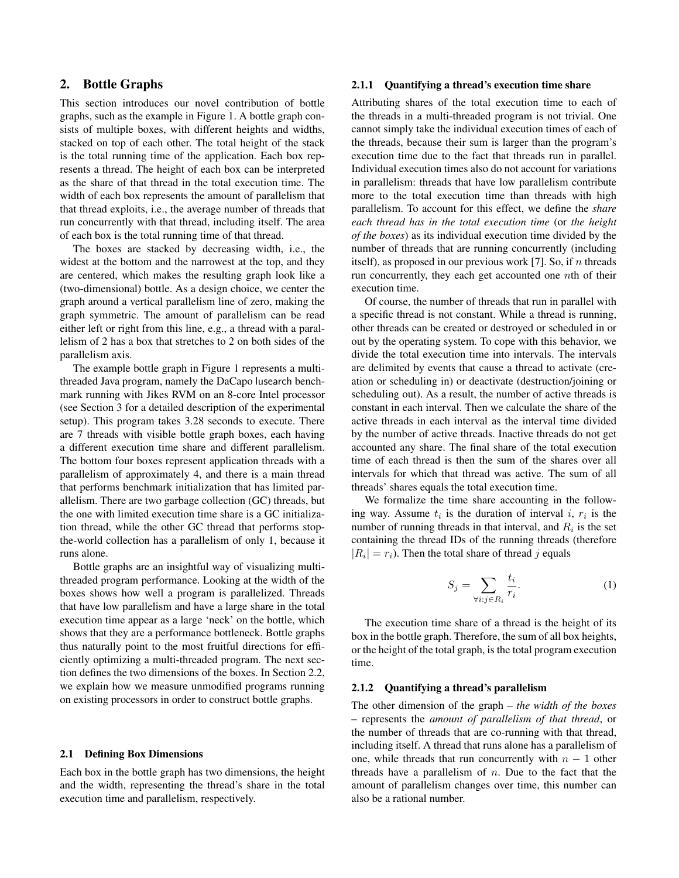## 2. Bottle Graphs

This section introduces our novel contribution of bottle graphs, such as the example in Figure 1. A bottle graph consists of multiple boxes, with different heights and widths, stacked on top of each other. The total height of the stack is the total running time of the application. Each box represents a thread. The height of each box can be interpreted as the share of that thread in the total execution time. The width of each box represents the amount of parallelism that that thread exploits, i.e., the average number of threads that run concurrently with that thread, including itself. The area of each box is the total running time of that thread.

The boxes are stacked by decreasing width, i.e., the widest at the bottom and the narrowest at the top, and they are centered, which makes the resulting graph look like a (two-dimensional) bottle. As a design choice, we center the graph around a vertical parallelism line of zero, making the graph symmetric. The amount of parallelism can be read either left or right from this line, e.g., a thread with a parallelism of 2 has a box that stretches to 2 on both sides of the parallelism axis.

The example bottle graph in Figure 1 represents a multithreaded Java program, namely the DaCapo lusearch benchmark running with Jikes RVM on an 8-core Intel processor (see Section 3 for a detailed description of the experimental setup). This program takes 3.28 seconds to execute. There are 7 threads with visible bottle graph boxes, each having a different execution time share and different parallelism. The bottom four boxes represent application threads with a parallelism of approximately 4, and there is a main thread that performs benchmark initialization that has limited parallelism. There are two garbage collection (GC) threads, but the one with limited execution time share is a GC initialization thread, while the other GC thread that performs stopthe-world collection has a parallelism of only 1, because it runs alone.

Bottle graphs are an insightful way of visualizing multithreaded program performance. Looking at the width of the boxes shows how well a program is parallelized. Threads that have low parallelism and have a large share in the total execution time appear as a large 'neck' on the bottle, which shows that they are a performance bottleneck. Bottle graphs thus naturally point to the most fruitful directions for efficiently optimizing a multi-threaded program. The next section defines the two dimensions of the boxes. In Section 2.2, we explain how we measure unmodified programs running on existing processors in order to construct bottle graphs.

#### 2.1 Defining Box Dimensions

Each box in the bottle graph has two dimensions, the height and the width, representing the thread's share in the total execution time and parallelism, respectively.

### 2.1.1 Quantifying a thread's execution time share

Attributing shares of the total execution time to each of the threads in a multi-threaded program is not trivial. One cannot simply take the individual execution times of each of the threads, because their sum is larger than the program's execution time due to the fact that threads run in parallel. Individual execution times also do not account for variations in parallelism: threads that have low parallelism contribute more to the total execution time than threads with high parallelism. To account for this effect, we define the *share each thread has in the total execution time* (or *the height of the boxes*) as its individual execution time divided by the number of threads that are running concurrently (including itself), as proposed in our previous work [7]. So, if  $n$  threads run concurrently, they each get accounted one nth of their execution time.

Of course, the number of threads that run in parallel with a specific thread is not constant. While a thread is running, other threads can be created or destroyed or scheduled in or out by the operating system. To cope with this behavior, we divide the total execution time into intervals. The intervals are delimited by events that cause a thread to activate (creation or scheduling in) or deactivate (destruction/joining or scheduling out). As a result, the number of active threads is constant in each interval. Then we calculate the share of the active threads in each interval as the interval time divided by the number of active threads. Inactive threads do not get accounted any share. The final share of the total execution time of each thread is then the sum of the shares over all intervals for which that thread was active. The sum of all threads' shares equals the total execution time.

We formalize the time share accounting in the following way. Assume  $t_i$  is the duration of interval i,  $r_i$  is the number of running threads in that interval, and  $R_i$  is the set containing the thread IDs of the running threads (therefore  $|R_i| = r_i$ ). Then the total share of thread j equals

$$
S_j = \sum_{\forall i: j \in R_i} \frac{t_i}{r_i}.\tag{1}
$$

The execution time share of a thread is the height of its box in the bottle graph. Therefore, the sum of all box heights, or the height of the total graph, is the total program execution time.

#### 2.1.2 Quantifying a thread's parallelism

The other dimension of the graph – *the width of the boxes* – represents the *amount of parallelism of that thread*, or the number of threads that are co-running with that thread, including itself. A thread that runs alone has a parallelism of one, while threads that run concurrently with  $n - 1$  other threads have a parallelism of  $n$ . Due to the fact that the amount of parallelism changes over time, this number can also be a rational number.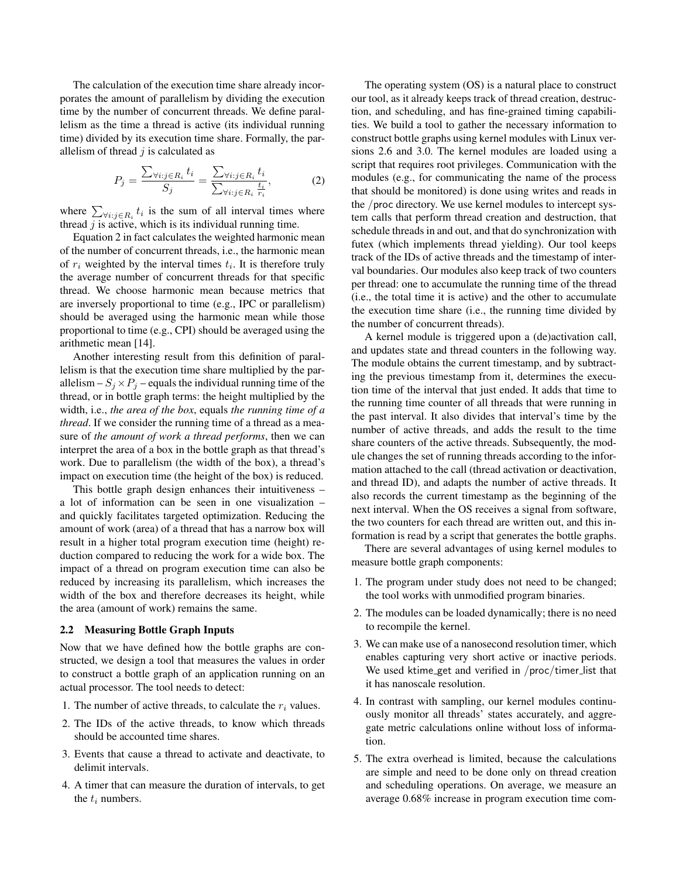The calculation of the execution time share already incorporates the amount of parallelism by dividing the execution time by the number of concurrent threads. We define parallelism as the time a thread is active (its individual running time) divided by its execution time share. Formally, the parallelism of thread  $j$  is calculated as

$$
P_j = \frac{\sum_{\forall i: j \in R_i} t_i}{S_j} = \frac{\sum_{\forall i: j \in R_i} t_i}{\sum_{\forall i: j \in R_i} \frac{t_i}{r_i}},\tag{2}
$$

where  $\sum_{\forall i: j \in R_i} t_i$  is the sum of all interval times where thread  $j$  is active, which is its individual running time.

Equation 2 in fact calculates the weighted harmonic mean of the number of concurrent threads, i.e., the harmonic mean of  $r_i$  weighted by the interval times  $t_i$ . It is therefore truly the average number of concurrent threads for that specific thread. We choose harmonic mean because metrics that are inversely proportional to time (e.g., IPC or parallelism) should be averaged using the harmonic mean while those proportional to time (e.g., CPI) should be averaged using the arithmetic mean [14].

Another interesting result from this definition of parallelism is that the execution time share multiplied by the parallelism –  $S_i \times P_j$  – equals the individual running time of the thread, or in bottle graph terms: the height multiplied by the width, i.e., *the area of the box*, equals *the running time of a thread*. If we consider the running time of a thread as a measure of *the amount of work a thread performs*, then we can interpret the area of a box in the bottle graph as that thread's work. Due to parallelism (the width of the box), a thread's impact on execution time (the height of the box) is reduced.

This bottle graph design enhances their intuitiveness – a lot of information can be seen in one visualization – and quickly facilitates targeted optimization. Reducing the amount of work (area) of a thread that has a narrow box will result in a higher total program execution time (height) reduction compared to reducing the work for a wide box. The impact of a thread on program execution time can also be reduced by increasing its parallelism, which increases the width of the box and therefore decreases its height, while the area (amount of work) remains the same.

#### 2.2 Measuring Bottle Graph Inputs

Now that we have defined how the bottle graphs are constructed, we design a tool that measures the values in order to construct a bottle graph of an application running on an actual processor. The tool needs to detect:

- 1. The number of active threads, to calculate the  $r_i$  values.
- 2. The IDs of the active threads, to know which threads should be accounted time shares.
- 3. Events that cause a thread to activate and deactivate, to delimit intervals.
- 4. A timer that can measure the duration of intervals, to get the  $t_i$  numbers.

The operating system (OS) is a natural place to construct our tool, as it already keeps track of thread creation, destruction, and scheduling, and has fine-grained timing capabilities. We build a tool to gather the necessary information to construct bottle graphs using kernel modules with Linux versions 2.6 and 3.0. The kernel modules are loaded using a script that requires root privileges. Communication with the modules (e.g., for communicating the name of the process that should be monitored) is done using writes and reads in the /proc directory. We use kernel modules to intercept system calls that perform thread creation and destruction, that schedule threads in and out, and that do synchronization with futex (which implements thread yielding). Our tool keeps track of the IDs of active threads and the timestamp of interval boundaries. Our modules also keep track of two counters per thread: one to accumulate the running time of the thread (i.e., the total time it is active) and the other to accumulate the execution time share (i.e., the running time divided by the number of concurrent threads).

A kernel module is triggered upon a (de)activation call, and updates state and thread counters in the following way. The module obtains the current timestamp, and by subtracting the previous timestamp from it, determines the execution time of the interval that just ended. It adds that time to the running time counter of all threads that were running in the past interval. It also divides that interval's time by the number of active threads, and adds the result to the time share counters of the active threads. Subsequently, the module changes the set of running threads according to the information attached to the call (thread activation or deactivation, and thread ID), and adapts the number of active threads. It also records the current timestamp as the beginning of the next interval. When the OS receives a signal from software, the two counters for each thread are written out, and this information is read by a script that generates the bottle graphs.

There are several advantages of using kernel modules to measure bottle graph components:

- 1. The program under study does not need to be changed; the tool works with unmodified program binaries.
- 2. The modules can be loaded dynamically; there is no need to recompile the kernel.
- 3. We can make use of a nanosecond resolution timer, which enables capturing very short active or inactive periods. We used ktime\_get and verified in /proc/timer\_list that it has nanoscale resolution.
- 4. In contrast with sampling, our kernel modules continuously monitor all threads' states accurately, and aggregate metric calculations online without loss of information.
- 5. The extra overhead is limited, because the calculations are simple and need to be done only on thread creation and scheduling operations. On average, we measure an average 0.68% increase in program execution time com-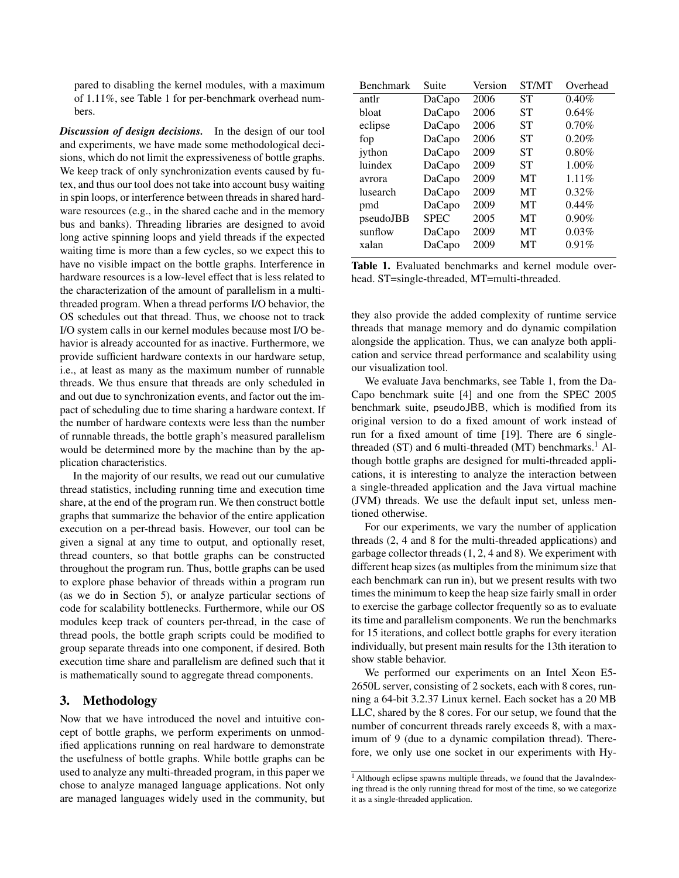pared to disabling the kernel modules, with a maximum of 1.11%, see Table 1 for per-benchmark overhead numbers.

*Discussion of design decisions.* In the design of our tool and experiments, we have made some methodological decisions, which do not limit the expressiveness of bottle graphs. We keep track of only synchronization events caused by futex, and thus our tool does not take into account busy waiting in spin loops, or interference between threads in shared hardware resources (e.g., in the shared cache and in the memory bus and banks). Threading libraries are designed to avoid long active spinning loops and yield threads if the expected waiting time is more than a few cycles, so we expect this to have no visible impact on the bottle graphs. Interference in hardware resources is a low-level effect that is less related to the characterization of the amount of parallelism in a multithreaded program. When a thread performs I/O behavior, the OS schedules out that thread. Thus, we choose not to track I/O system calls in our kernel modules because most I/O behavior is already accounted for as inactive. Furthermore, we provide sufficient hardware contexts in our hardware setup, i.e., at least as many as the maximum number of runnable threads. We thus ensure that threads are only scheduled in and out due to synchronization events, and factor out the impact of scheduling due to time sharing a hardware context. If the number of hardware contexts were less than the number of runnable threads, the bottle graph's measured parallelism would be determined more by the machine than by the application characteristics.

In the majority of our results, we read out our cumulative thread statistics, including running time and execution time share, at the end of the program run. We then construct bottle graphs that summarize the behavior of the entire application execution on a per-thread basis. However, our tool can be given a signal at any time to output, and optionally reset, thread counters, so that bottle graphs can be constructed throughout the program run. Thus, bottle graphs can be used to explore phase behavior of threads within a program run (as we do in Section 5), or analyze particular sections of code for scalability bottlenecks. Furthermore, while our OS modules keep track of counters per-thread, in the case of thread pools, the bottle graph scripts could be modified to group separate threads into one component, if desired. Both execution time share and parallelism are defined such that it is mathematically sound to aggregate thread components.

## 3. Methodology

Now that we have introduced the novel and intuitive concept of bottle graphs, we perform experiments on unmodified applications running on real hardware to demonstrate the usefulness of bottle graphs. While bottle graphs can be used to analyze any multi-threaded program, in this paper we chose to analyze managed language applications. Not only are managed languages widely used in the community, but

| <b>Benchmark</b> | Suite       | Version | ST/MT     | Overhead |
|------------------|-------------|---------|-----------|----------|
| antlr            | DaCapo      | 2006    | ST        | 0.40%    |
| bloat            | DaCapo      | 2006    | <b>ST</b> | 0.64%    |
| eclipse          | DaCapo      | 2006    | <b>ST</b> | 0.70%    |
| fop              | DaCapo      | 2006    | SТ        | 0.20%    |
| jython           | DaCapo      | 2009    | SТ        | 0.80%    |
| luindex          | DaCapo      | 2009    | <b>ST</b> | $1.00\%$ |
| avrora           | DaCapo      | 2009    | MT        | $1.11\%$ |
| lusearch         | DaCapo      | 2009    | MT        | 0.32%    |
| pmd              | DaCapo      | 2009    | MT        | $0.44\%$ |
| pseudoJBB        | <b>SPEC</b> | 2005    | <b>MT</b> | $0.90\%$ |
| sunflow          | DaCapo      | 2009    | <b>MT</b> | 0.03%    |
| xalan            | DaCapo      | 2009    | MТ        | 0.91%    |

Table 1. Evaluated benchmarks and kernel module overhead. ST=single-threaded, MT=multi-threaded.

they also provide the added complexity of runtime service threads that manage memory and do dynamic compilation alongside the application. Thus, we can analyze both application and service thread performance and scalability using our visualization tool.

We evaluate Java benchmarks, see Table 1, from the Da-Capo benchmark suite [4] and one from the SPEC 2005 benchmark suite, pseudoJBB, which is modified from its original version to do a fixed amount of work instead of run for a fixed amount of time [19]. There are 6 singlethreaded  $(ST)$  and 6 multi-threaded  $(MT)$  benchmarks.<sup>1</sup> Although bottle graphs are designed for multi-threaded applications, it is interesting to analyze the interaction between a single-threaded application and the Java virtual machine (JVM) threads. We use the default input set, unless mentioned otherwise.

For our experiments, we vary the number of application threads (2, 4 and 8 for the multi-threaded applications) and garbage collector threads (1, 2, 4 and 8). We experiment with different heap sizes (as multiples from the minimum size that each benchmark can run in), but we present results with two times the minimum to keep the heap size fairly small in order to exercise the garbage collector frequently so as to evaluate its time and parallelism components. We run the benchmarks for 15 iterations, and collect bottle graphs for every iteration individually, but present main results for the 13th iteration to show stable behavior.

We performed our experiments on an Intel Xeon E5- 2650L server, consisting of 2 sockets, each with 8 cores, running a 64-bit 3.2.37 Linux kernel. Each socket has a 20 MB LLC, shared by the 8 cores. For our setup, we found that the number of concurrent threads rarely exceeds 8, with a maximum of 9 (due to a dynamic compilation thread). Therefore, we only use one socket in our experiments with Hy-

<sup>&</sup>lt;sup>1</sup> Although eclipse spawns multiple threads, we found that the JavaIndexing thread is the only running thread for most of the time, so we categorize it as a single-threaded application.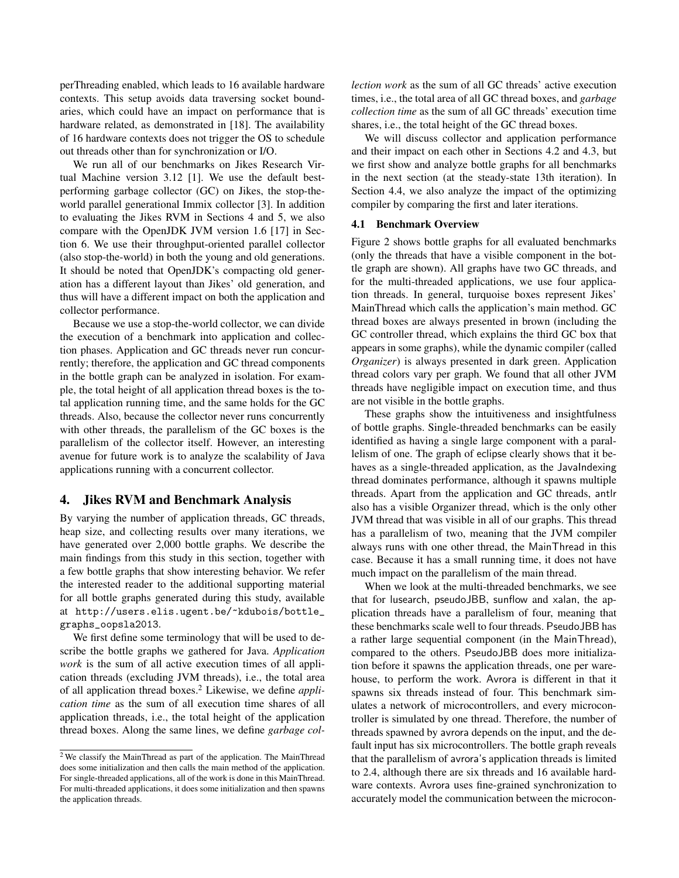perThreading enabled, which leads to 16 available hardware contexts. This setup avoids data traversing socket boundaries, which could have an impact on performance that is hardware related, as demonstrated in [18]. The availability of 16 hardware contexts does not trigger the OS to schedule out threads other than for synchronization or I/O.

We run all of our benchmarks on Jikes Research Virtual Machine version 3.12 [1]. We use the default bestperforming garbage collector (GC) on Jikes, the stop-theworld parallel generational Immix collector [3]. In addition to evaluating the Jikes RVM in Sections 4 and 5, we also compare with the OpenJDK JVM version 1.6 [17] in Section 6. We use their throughput-oriented parallel collector (also stop-the-world) in both the young and old generations. It should be noted that OpenJDK's compacting old generation has a different layout than Jikes' old generation, and thus will have a different impact on both the application and collector performance.

Because we use a stop-the-world collector, we can divide the execution of a benchmark into application and collection phases. Application and GC threads never run concurrently; therefore, the application and GC thread components in the bottle graph can be analyzed in isolation. For example, the total height of all application thread boxes is the total application running time, and the same holds for the GC threads. Also, because the collector never runs concurrently with other threads, the parallelism of the GC boxes is the parallelism of the collector itself. However, an interesting avenue for future work is to analyze the scalability of Java applications running with a concurrent collector.

## 4. Jikes RVM and Benchmark Analysis

By varying the number of application threads, GC threads, heap size, and collecting results over many iterations, we have generated over 2,000 bottle graphs. We describe the main findings from this study in this section, together with a few bottle graphs that show interesting behavior. We refer the interested reader to the additional supporting material for all bottle graphs generated during this study, available at http://users.elis.ugent.be/~kdubois/bottle\_ graphs\_oopsla2013.

We first define some terminology that will be used to describe the bottle graphs we gathered for Java. *Application work* is the sum of all active execution times of all application threads (excluding JVM threads), i.e., the total area of all application thread boxes.<sup>2</sup> Likewise, we define *application time* as the sum of all execution time shares of all application threads, i.e., the total height of the application thread boxes. Along the same lines, we define *garbage col-* *lection work* as the sum of all GC threads' active execution times, i.e., the total area of all GC thread boxes, and *garbage collection time* as the sum of all GC threads' execution time shares, i.e., the total height of the GC thread boxes.

We will discuss collector and application performance and their impact on each other in Sections 4.2 and 4.3, but we first show and analyze bottle graphs for all benchmarks in the next section (at the steady-state 13th iteration). In Section 4.4, we also analyze the impact of the optimizing compiler by comparing the first and later iterations.

### 4.1 Benchmark Overview

Figure 2 shows bottle graphs for all evaluated benchmarks (only the threads that have a visible component in the bottle graph are shown). All graphs have two GC threads, and for the multi-threaded applications, we use four application threads. In general, turquoise boxes represent Jikes' MainThread which calls the application's main method. GC thread boxes are always presented in brown (including the GC controller thread, which explains the third GC box that appears in some graphs), while the dynamic compiler (called *Organizer*) is always presented in dark green. Application thread colors vary per graph. We found that all other JVM threads have negligible impact on execution time, and thus are not visible in the bottle graphs.

These graphs show the intuitiveness and insightfulness of bottle graphs. Single-threaded benchmarks can be easily identified as having a single large component with a parallelism of one. The graph of eclipse clearly shows that it behaves as a single-threaded application, as the JavaIndexing thread dominates performance, although it spawns multiple threads. Apart from the application and GC threads, antlr also has a visible Organizer thread, which is the only other JVM thread that was visible in all of our graphs. This thread has a parallelism of two, meaning that the JVM compiler always runs with one other thread, the MainThread in this case. Because it has a small running time, it does not have much impact on the parallelism of the main thread.

When we look at the multi-threaded benchmarks, we see that for lusearch, pseudoJBB, sunflow and xalan, the application threads have a parallelism of four, meaning that these benchmarks scale well to four threads. PseudoJBB has a rather large sequential component (in the MainThread), compared to the others. PseudoJBB does more initialization before it spawns the application threads, one per warehouse, to perform the work. Avrora is different in that it spawns six threads instead of four. This benchmark simulates a network of microcontrollers, and every microcontroller is simulated by one thread. Therefore, the number of threads spawned by avrora depends on the input, and the default input has six microcontrollers. The bottle graph reveals that the parallelism of avrora's application threads is limited to 2.4, although there are six threads and 16 available hardware contexts. Avrora uses fine-grained synchronization to accurately model the communication between the microcon-

 $2$  We classify the MainThread as part of the application. The MainThread does some initialization and then calls the main method of the application. For single-threaded applications, all of the work is done in this MainThread. For multi-threaded applications, it does some initialization and then spawns the application threads.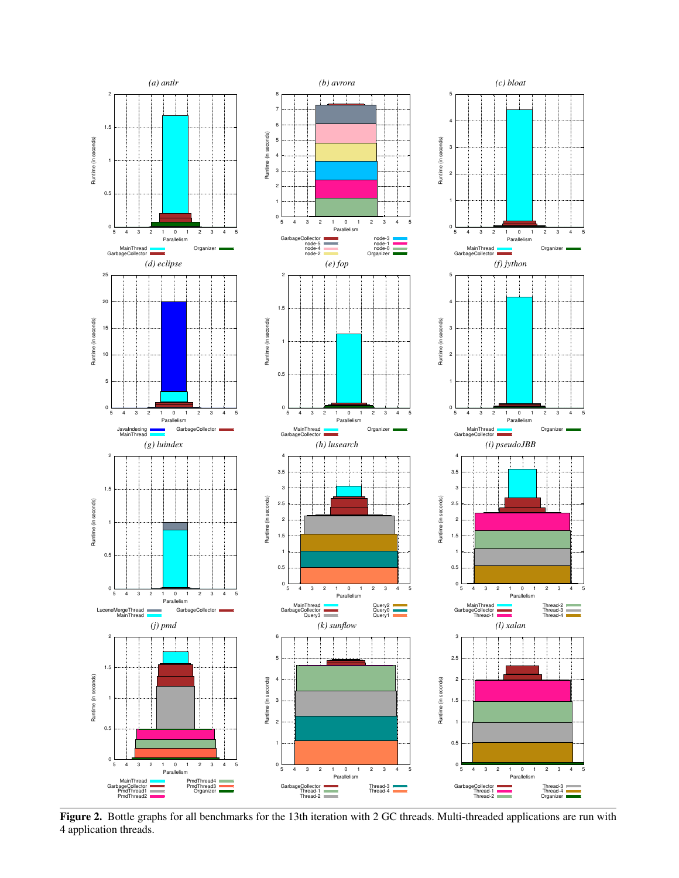

Figure 2. Bottle graphs for all benchmarks for the 13th iteration with 2 GC threads. Multi-threaded applications are run with 4 application threads.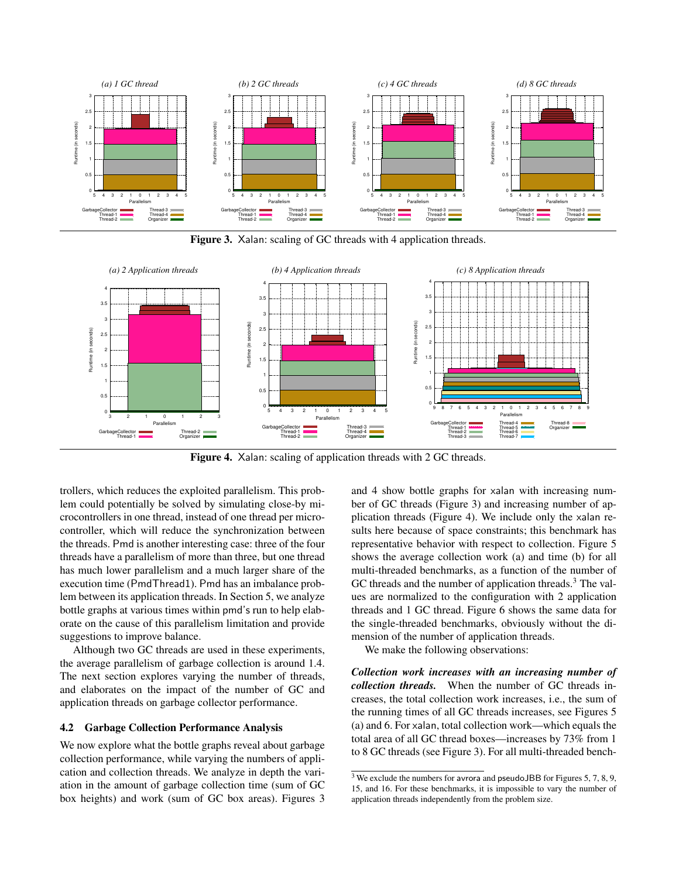

Figure 3. Xalan: scaling of GC threads with 4 application threads.



Figure 4. Xalan: scaling of application threads with 2 GC threads.

trollers, which reduces the exploited parallelism. This problem could potentially be solved by simulating close-by microcontrollers in one thread, instead of one thread per microcontroller, which will reduce the synchronization between the threads. Pmd is another interesting case: three of the four threads have a parallelism of more than three, but one thread has much lower parallelism and a much larger share of the execution time (PmdThread1). Pmd has an imbalance problem between its application threads. In Section 5, we analyze bottle graphs at various times within pmd's run to help elaborate on the cause of this parallelism limitation and provide suggestions to improve balance.

Although two GC threads are used in these experiments, the average parallelism of garbage collection is around 1.4. The next section explores varying the number of threads, and elaborates on the impact of the number of GC and application threads on garbage collector performance.

#### 4.2 Garbage Collection Performance Analysis

We now explore what the bottle graphs reveal about garbage collection performance, while varying the numbers of application and collection threads. We analyze in depth the variation in the amount of garbage collection time (sum of GC box heights) and work (sum of GC box areas). Figures 3

and 4 show bottle graphs for xalan with increasing number of GC threads (Figure 3) and increasing number of application threads (Figure 4). We include only the xalan results here because of space constraints; this benchmark has representative behavior with respect to collection. Figure 5 shows the average collection work (a) and time (b) for all multi-threaded benchmarks, as a function of the number of GC threads and the number of application threads.<sup>3</sup> The values are normalized to the configuration with 2 application threads and 1 GC thread. Figure 6 shows the same data for the single-threaded benchmarks, obviously without the dimension of the number of application threads.

We make the following observations:

*Collection work increases with an increasing number of collection threads.* When the number of GC threads increases, the total collection work increases, i.e., the sum of the running times of all GC threads increases, see Figures 5 (a) and 6. For xalan, total collection work—which equals the total area of all GC thread boxes—increases by 73% from 1 to 8 GC threads (see Figure 3). For all multi-threaded bench-

<sup>&</sup>lt;sup>3</sup> We exclude the numbers for avrora and pseudoJBB for Figures 5, 7, 8, 9, 15, and 16. For these benchmarks, it is impossible to vary the number of application threads independently from the problem size.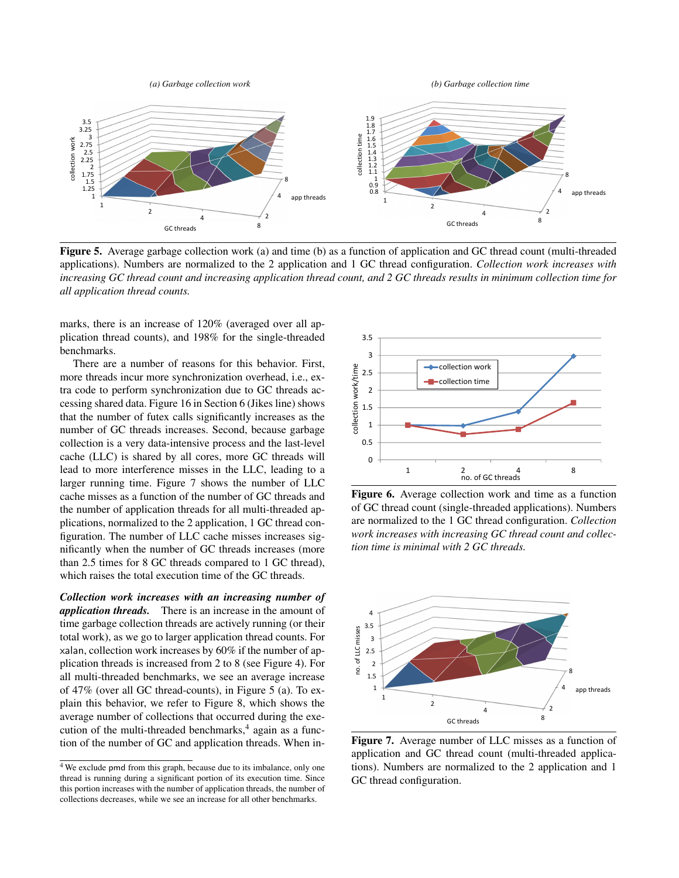*(a) Garbage collection work (b) Garbage collection time*



Figure 5. Average garbage collection work (a) and time (b) as a function of application and GC thread count (multi-threaded applications). Numbers are normalized to the 2 application and 1 GC thread configuration. *Collection work increases with increasing GC thread count and increasing application thread count, and 2 GC threads results in minimum collection time for all application thread counts.*

marks, there is an increase of 120% (averaged over all application thread counts), and 198% for the single-threaded benchmarks.

There are a number of reasons for this behavior. First, more threads incur more synchronization overhead, i.e., extra code to perform synchronization due to GC threads accessing shared data. Figure 16 in Section 6 (Jikes line) shows that the number of futex calls significantly increases as the number of GC threads increases. Second, because garbage collection is a very data-intensive process and the last-level cache (LLC) is shared by all cores, more GC threads will lead to more interference misses in the LLC, leading to a larger running time. Figure 7 shows the number of LLC cache misses as a function of the number of GC threads and the number of application threads for all multi-threaded applications, normalized to the 2 application, 1 GC thread configuration. The number of LLC cache misses increases significantly when the number of GC threads increases (more than 2.5 times for 8 GC threads compared to 1 GC thread), which raises the total execution time of the GC threads.

*Collection work increases with an increasing number of application threads.* There is an increase in the amount of time garbage collection threads are actively running (or their total work), as we go to larger application thread counts. For xalan, collection work increases by 60% if the number of application threads is increased from 2 to 8 (see Figure 4). For all multi-threaded benchmarks, we see an average increase of 47% (over all GC thread-counts), in Figure 5 (a). To explain this behavior, we refer to Figure 8, which shows the average number of collections that occurred during the execution of the multi-threaded benchmarks,<sup>4</sup> again as a function of the number of GC and application threads. When in-



Figure 6. Average collection work and time as a function of GC thread count (single-threaded applications). Numbers are normalized to the 1 GC thread configuration. *Collection work increases with increasing GC thread count and collection time is minimal with 2 GC threads.*



Figure 7. Average number of LLC misses as a function of application and GC thread count (multi-threaded applications). Numbers are normalized to the 2 application and 1 GC thread configuration.

<sup>4</sup> We exclude pmd from this graph, because due to its imbalance, only one thread is running during a significant portion of its execution time. Since this portion increases with the number of application threads, the number of collections decreases, while we see an increase for all other benchmarks.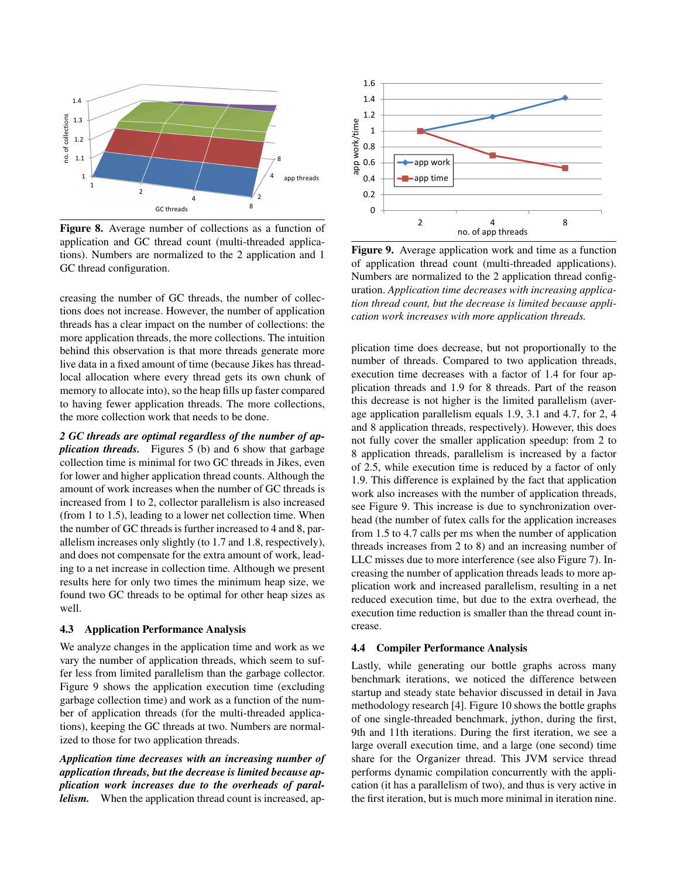

Figure 8. Average number of collections as a function of application and GC thread count (multi-threaded applications). Numbers are normalized to the 2 application and 1 GC thread configuration.

creasing the number of GC threads, the number of collections does not increase. However, the number of application threads has a clear impact on the number of collections: the more application threads, the more collections. The intuition behind this observation is that more threads generate more live data in a fixed amount of time (because Jikes has threadlocal allocation where every thread gets its own chunk of memory to allocate into), so the heap fills up faster compared to having fewer application threads. The more collections, the more collection work that needs to be done.

*2 GC threads are optimal regardless of the number of application threads.* Figures 5 (b) and 6 show that garbage collection time is minimal for two GC threads in Jikes, even for lower and higher application thread counts. Although the amount of work increases when the number of GC threads is increased from 1 to 2, collector parallelism is also increased (from 1 to 1.5), leading to a lower net collection time. When the number of GC threads is further increased to 4 and 8, parallelism increases only slightly (to 1.7 and 1.8, respectively), and does not compensate for the extra amount of work, leading to a net increase in collection time. Although we present results here for only two times the minimum heap size, we found two GC threads to be optimal for other heap sizes as well.

#### 4.3 Application Performance Analysis

We analyze changes in the application time and work as we vary the number of application threads, which seem to suffer less from limited parallelism than the garbage collector. Figure 9 shows the application execution time (excluding garbage collection time) and work as a function of the number of application threads (for the multi-threaded applications), keeping the GC threads at two. Numbers are normalized to those for two application threads.

*Application time decreases with an increasing number of application threads, but the decrease is limited because application work increases due to the overheads of parallelism.* When the application thread count is increased, ap-



Figure 9. Average application work and time as a function of application thread count (multi-threaded applications). Numbers are normalized to the 2 application thread configuration. *Application time decreases with increasing application thread count, but the decrease is limited because application work increases with more application threads.*

plication time does decrease, but not proportionally to the number of threads. Compared to two application threads, execution time decreases with a factor of 1.4 for four application threads and 1.9 for 8 threads. Part of the reason this decrease is not higher is the limited parallelism (average application parallelism equals 1.9, 3.1 and 4.7, for 2, 4 and 8 application threads, respectively). However, this does not fully cover the smaller application speedup: from 2 to 8 application threads, parallelism is increased by a factor of 2.5, while execution time is reduced by a factor of only 1.9. This difference is explained by the fact that application work also increases with the number of application threads, see Figure 9. This increase is due to synchronization overhead (the number of futex calls for the application increases from 1.5 to 4.7 calls per ms when the number of application threads increases from 2 to 8) and an increasing number of LLC misses due to more interference (see also Figure 7). Increasing the number of application threads leads to more application work and increased parallelism, resulting in a net reduced execution time, but due to the extra overhead, the execution time reduction is smaller than the thread count increase.

## 4.4 Compiler Performance Analysis

Lastly, while generating our bottle graphs across many benchmark iterations, we noticed the difference between startup and steady state behavior discussed in detail in Java methodology research [4]. Figure 10 shows the bottle graphs of one single-threaded benchmark, jython, during the first, 9th and 11th iterations. During the first iteration, we see a large overall execution time, and a large (one second) time share for the Organizer thread. This JVM service thread performs dynamic compilation concurrently with the application (it has a parallelism of two), and thus is very active in the first iteration, but is much more minimal in iteration nine.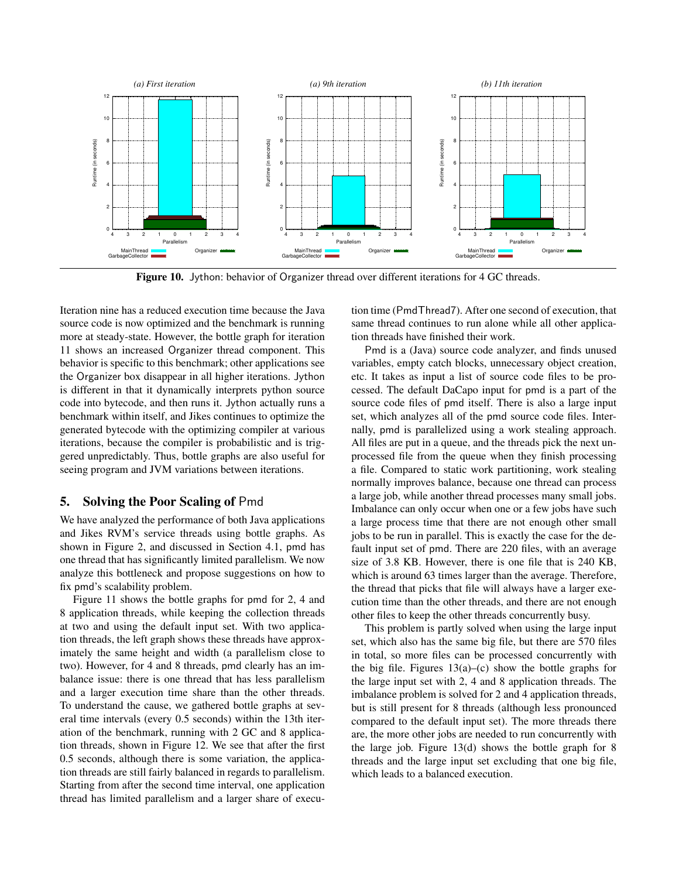

Figure 10. Jython: behavior of Organizer thread over different iterations for 4 GC threads.

Iteration nine has a reduced execution time because the Java source code is now optimized and the benchmark is running more at steady-state. However, the bottle graph for iteration 11 shows an increased Organizer thread component. This behavior is specific to this benchmark; other applications see the Organizer box disappear in all higher iterations. Jython is different in that it dynamically interprets python source code into bytecode, and then runs it. Jython actually runs a benchmark within itself, and Jikes continues to optimize the generated bytecode with the optimizing compiler at various iterations, because the compiler is probabilistic and is triggered unpredictably. Thus, bottle graphs are also useful for seeing program and JVM variations between iterations.

## 5. Solving the Poor Scaling of Pmd

We have analyzed the performance of both Java applications and Jikes RVM's service threads using bottle graphs. As shown in Figure 2, and discussed in Section 4.1, pmd has one thread that has significantly limited parallelism. We now analyze this bottleneck and propose suggestions on how to fix pmd's scalability problem.

Figure 11 shows the bottle graphs for pmd for 2, 4 and 8 application threads, while keeping the collection threads at two and using the default input set. With two application threads, the left graph shows these threads have approximately the same height and width (a parallelism close to two). However, for 4 and 8 threads, pmd clearly has an imbalance issue: there is one thread that has less parallelism and a larger execution time share than the other threads. To understand the cause, we gathered bottle graphs at several time intervals (every 0.5 seconds) within the 13th iteration of the benchmark, running with 2 GC and 8 application threads, shown in Figure 12. We see that after the first 0.5 seconds, although there is some variation, the application threads are still fairly balanced in regards to parallelism. Starting from after the second time interval, one application thread has limited parallelism and a larger share of execution time (PmdThread7). After one second of execution, that same thread continues to run alone while all other application threads have finished their work.

Pmd is a (Java) source code analyzer, and finds unused variables, empty catch blocks, unnecessary object creation, etc. It takes as input a list of source code files to be processed. The default DaCapo input for pmd is a part of the source code files of pmd itself. There is also a large input set, which analyzes all of the pmd source code files. Internally, pmd is parallelized using a work stealing approach. All files are put in a queue, and the threads pick the next unprocessed file from the queue when they finish processing a file. Compared to static work partitioning, work stealing normally improves balance, because one thread can process a large job, while another thread processes many small jobs. Imbalance can only occur when one or a few jobs have such a large process time that there are not enough other small jobs to be run in parallel. This is exactly the case for the default input set of pmd. There are 220 files, with an average size of 3.8 KB. However, there is one file that is 240 KB, which is around 63 times larger than the average. Therefore, the thread that picks that file will always have a larger execution time than the other threads, and there are not enough other files to keep the other threads concurrently busy.

This problem is partly solved when using the large input set, which also has the same big file, but there are 570 files in total, so more files can be processed concurrently with the big file. Figures  $13(a)$ –(c) show the bottle graphs for the large input set with 2, 4 and 8 application threads. The imbalance problem is solved for 2 and 4 application threads, but is still present for 8 threads (although less pronounced compared to the default input set). The more threads there are, the more other jobs are needed to run concurrently with the large job. Figure 13(d) shows the bottle graph for 8 threads and the large input set excluding that one big file, which leads to a balanced execution.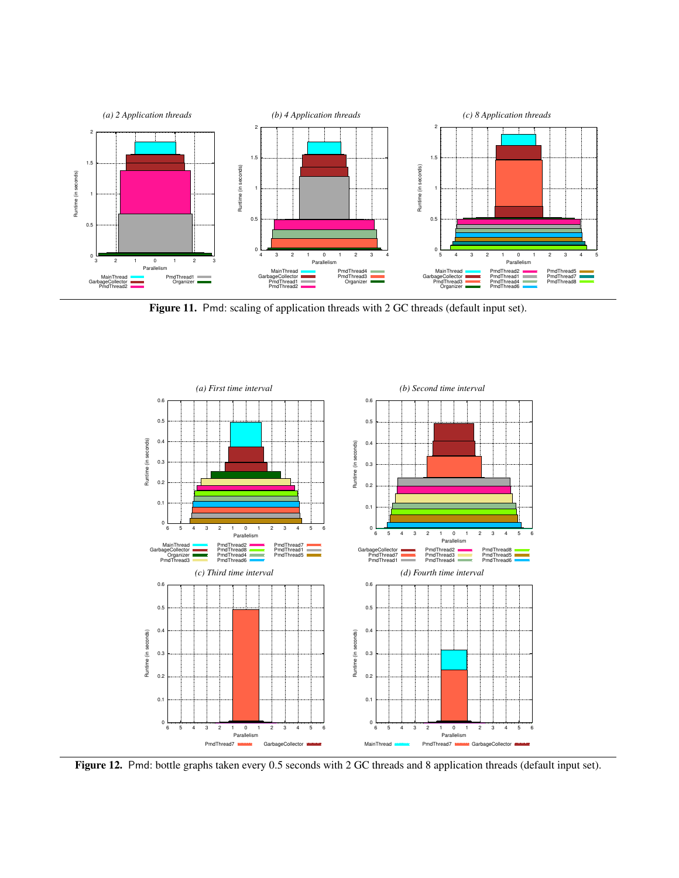

Figure 11. Pmd: scaling of application threads with 2 GC threads (default input set).



Figure 12. Pmd: bottle graphs taken every 0.5 seconds with 2 GC threads and 8 application threads (default input set).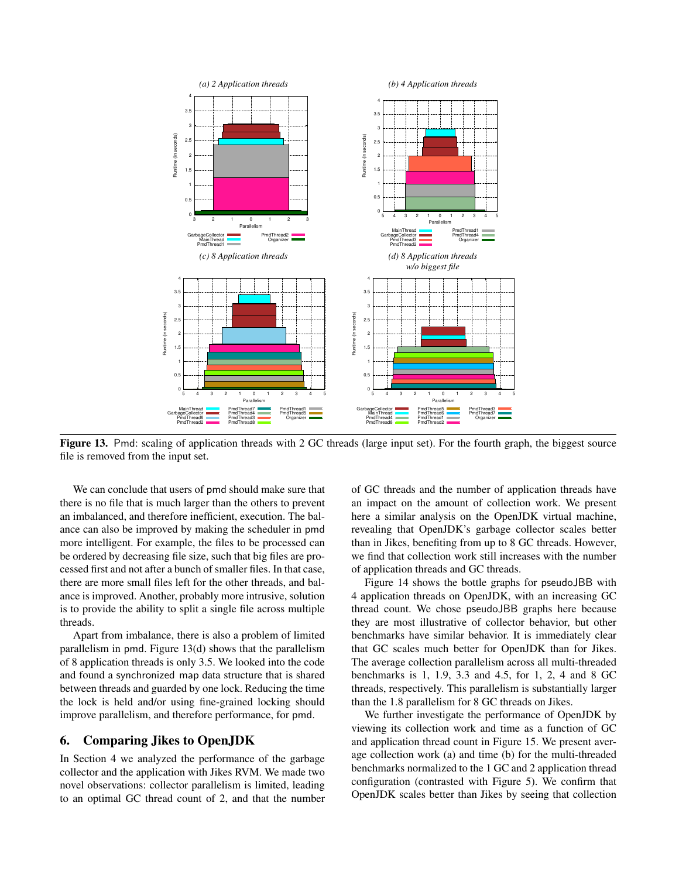

Figure 13. Pmd: scaling of application threads with 2 GC threads (large input set). For the fourth graph, the biggest source file is removed from the input set.

We can conclude that users of pmd should make sure that there is no file that is much larger than the others to prevent an imbalanced, and therefore inefficient, execution. The balance can also be improved by making the scheduler in pmd more intelligent. For example, the files to be processed can be ordered by decreasing file size, such that big files are processed first and not after a bunch of smaller files. In that case, there are more small files left for the other threads, and balance is improved. Another, probably more intrusive, solution is to provide the ability to split a single file across multiple threads.

Apart from imbalance, there is also a problem of limited parallelism in pmd. Figure 13(d) shows that the parallelism of 8 application threads is only 3.5. We looked into the code and found a synchronized map data structure that is shared between threads and guarded by one lock. Reducing the time the lock is held and/or using fine-grained locking should improve parallelism, and therefore performance, for pmd.

## 6. Comparing Jikes to OpenJDK

In Section 4 we analyzed the performance of the garbage collector and the application with Jikes RVM. We made two novel observations: collector parallelism is limited, leading to an optimal GC thread count of 2, and that the number

of GC threads and the number of application threads have an impact on the amount of collection work. We present here a similar analysis on the OpenJDK virtual machine, revealing that OpenJDK's garbage collector scales better than in Jikes, benefiting from up to 8 GC threads. However, we find that collection work still increases with the number of application threads and GC threads.

Figure 14 shows the bottle graphs for pseudoJBB with 4 application threads on OpenJDK, with an increasing GC thread count. We chose pseudoJBB graphs here because they are most illustrative of collector behavior, but other benchmarks have similar behavior. It is immediately clear that GC scales much better for OpenJDK than for Jikes. The average collection parallelism across all multi-threaded benchmarks is 1, 1.9, 3.3 and 4.5, for 1, 2, 4 and 8 GC threads, respectively. This parallelism is substantially larger than the 1.8 parallelism for 8 GC threads on Jikes.

We further investigate the performance of OpenJDK by viewing its collection work and time as a function of GC and application thread count in Figure 15. We present average collection work (a) and time (b) for the multi-threaded benchmarks normalized to the 1 GC and 2 application thread configuration (contrasted with Figure 5). We confirm that OpenJDK scales better than Jikes by seeing that collection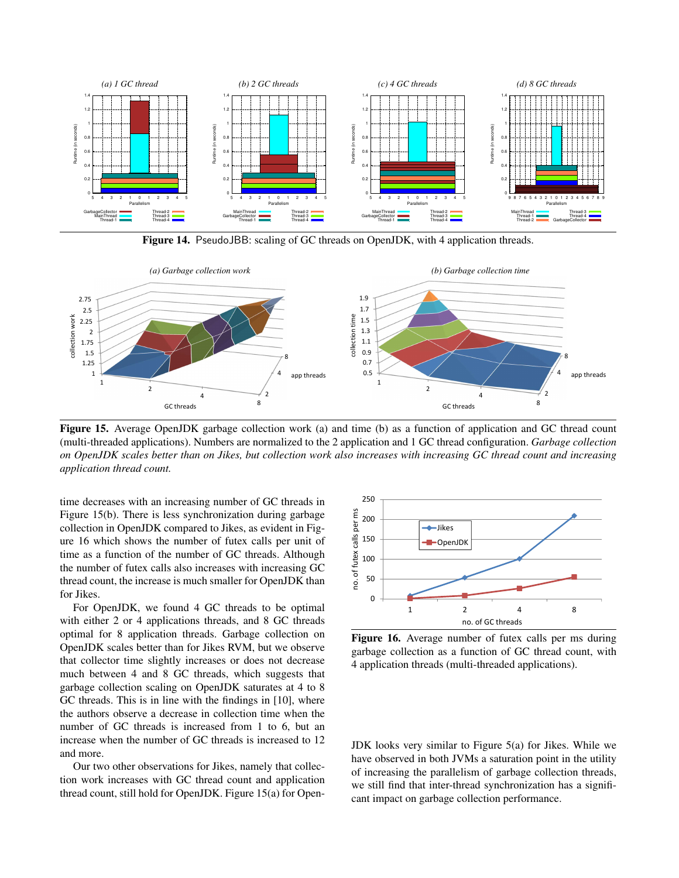

Figure 14. PseudoJBB: scaling of GC threads on OpenJDK, with 4 application threads.



Figure 15. Average OpenJDK garbage collection work (a) and time (b) as a function of application and GC thread count (multi-threaded applications). Numbers are normalized to the 2 application and 1 GC thread configuration. *Garbage collection on OpenJDK scales better than on Jikes, but collection work also increases with increasing GC thread count and increasing application thread count.*

time decreases with an increasing number of GC threads in Figure 15(b). There is less synchronization during garbage collection in OpenJDK compared to Jikes, as evident in Figure 16 which shows the number of futex calls per unit of time as a function of the number of GC threads. Although the number of futex calls also increases with increasing GC thread count, the increase is much smaller for OpenJDK than for Jikes.

For OpenJDK, we found 4 GC threads to be optimal with either 2 or 4 applications threads, and 8 GC threads optimal for 8 application threads. Garbage collection on OpenJDK scales better than for Jikes RVM, but we observe that collector time slightly increases or does not decrease much between 4 and 8 GC threads, which suggests that garbage collection scaling on OpenJDK saturates at 4 to 8 GC threads. This is in line with the findings in [10], where the authors observe a decrease in collection time when the number of GC threads is increased from 1 to 6, but an increase when the number of GC threads is increased to 12 and more.

Our two other observations for Jikes, namely that collection work increases with GC thread count and application thread count, still hold for OpenJDK. Figure 15(a) for Open-



Figure 16. Average number of futex calls per ms during garbage collection as a function of GC thread count, with 4 application threads (multi-threaded applications).

JDK looks very similar to Figure 5(a) for Jikes. While we have observed in both JVMs a saturation point in the utility of increasing the parallelism of garbage collection threads, we still find that inter-thread synchronization has a significant impact on garbage collection performance.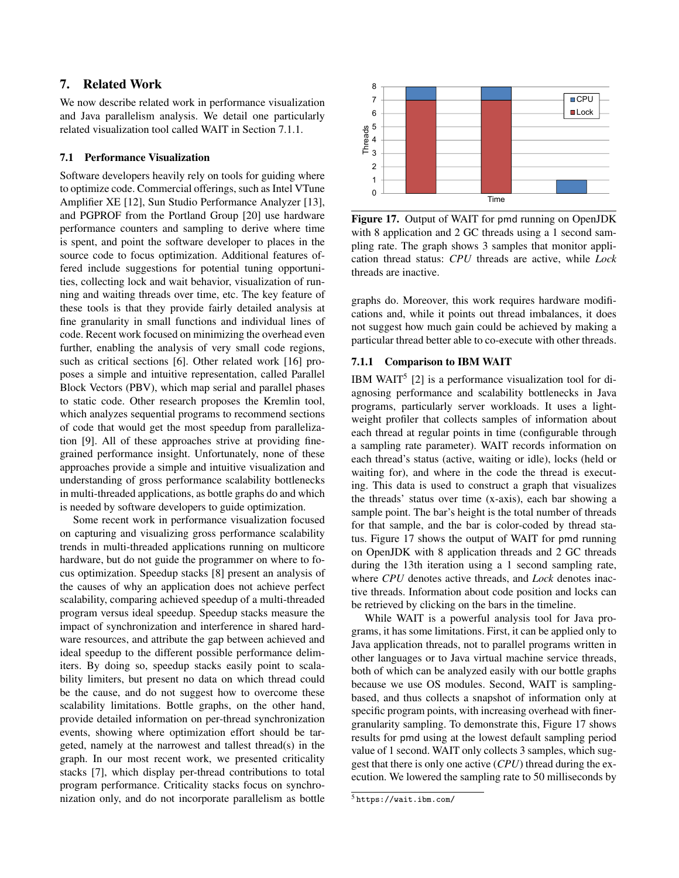# 7. Related Work

We now describe related work in performance visualization and Java parallelism analysis. We detail one particularly related visualization tool called WAIT in Section 7.1.1.

#### 7.1 Performance Visualization

Software developers heavily rely on tools for guiding where to optimize code. Commercial offerings, such as Intel VTune Amplifier XE [12], Sun Studio Performance Analyzer [13], and PGPROF from the Portland Group [20] use hardware performance counters and sampling to derive where time is spent, and point the software developer to places in the source code to focus optimization. Additional features offered include suggestions for potential tuning opportunities, collecting lock and wait behavior, visualization of running and waiting threads over time, etc. The key feature of these tools is that they provide fairly detailed analysis at fine granularity in small functions and individual lines of code. Recent work focused on minimizing the overhead even further, enabling the analysis of very small code regions, such as critical sections [6]. Other related work [16] proposes a simple and intuitive representation, called Parallel Block Vectors (PBV), which map serial and parallel phases to static code. Other research proposes the Kremlin tool, which analyzes sequential programs to recommend sections of code that would get the most speedup from parallelization [9]. All of these approaches strive at providing finegrained performance insight. Unfortunately, none of these approaches provide a simple and intuitive visualization and understanding of gross performance scalability bottlenecks in multi-threaded applications, as bottle graphs do and which is needed by software developers to guide optimization.

Some recent work in performance visualization focused on capturing and visualizing gross performance scalability trends in multi-threaded applications running on multicore hardware, but do not guide the programmer on where to focus optimization. Speedup stacks [8] present an analysis of the causes of why an application does not achieve perfect scalability, comparing achieved speedup of a multi-threaded program versus ideal speedup. Speedup stacks measure the impact of synchronization and interference in shared hardware resources, and attribute the gap between achieved and ideal speedup to the different possible performance delimiters. By doing so, speedup stacks easily point to scalability limiters, but present no data on which thread could be the cause, and do not suggest how to overcome these scalability limitations. Bottle graphs, on the other hand, provide detailed information on per-thread synchronization events, showing where optimization effort should be targeted, namely at the narrowest and tallest thread(s) in the graph. In our most recent work, we presented criticality stacks [7], which display per-thread contributions to total program performance. Criticality stacks focus on synchronization only, and do not incorporate parallelism as bottle



Figure 17. Output of WAIT for pmd running on OpenJDK with 8 application and 2 GC threads using a 1 second sampling rate. The graph shows 3 samples that monitor application thread status: *CPU* threads are active, while *Lock* threads are inactive.

graphs do. Moreover, this work requires hardware modifications and, while it points out thread imbalances, it does not suggest how much gain could be achieved by making a particular thread better able to co-execute with other threads.

#### 7.1.1 Comparison to IBM WAIT

IBM WAIT<sup>5</sup> [2] is a performance visualization tool for diagnosing performance and scalability bottlenecks in Java programs, particularly server workloads. It uses a lightweight profiler that collects samples of information about each thread at regular points in time (configurable through a sampling rate parameter). WAIT records information on each thread's status (active, waiting or idle), locks (held or waiting for), and where in the code the thread is executing. This data is used to construct a graph that visualizes the threads' status over time (x-axis), each bar showing a sample point. The bar's height is the total number of threads for that sample, and the bar is color-coded by thread status. Figure 17 shows the output of WAIT for pmd running on OpenJDK with 8 application threads and 2 GC threads during the 13th iteration using a 1 second sampling rate, where *CPU* denotes active threads, and *Lock* denotes inactive threads. Information about code position and locks can be retrieved by clicking on the bars in the timeline.

While WAIT is a powerful analysis tool for Java programs, it has some limitations. First, it can be applied only to Java application threads, not to parallel programs written in other languages or to Java virtual machine service threads, both of which can be analyzed easily with our bottle graphs because we use OS modules. Second, WAIT is samplingbased, and thus collects a snapshot of information only at specific program points, with increasing overhead with finergranularity sampling. To demonstrate this, Figure 17 shows results for pmd using at the lowest default sampling period value of 1 second. WAIT only collects 3 samples, which suggest that there is only one active (*CPU*) thread during the execution. We lowered the sampling rate to 50 milliseconds by

<sup>5</sup> https://wait.ibm.com/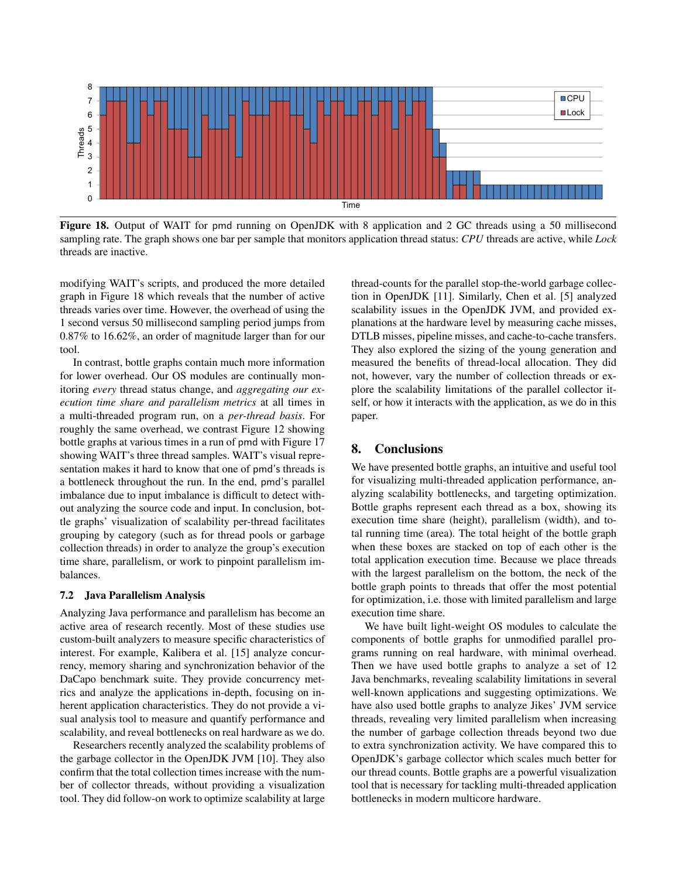

Figure 18. Output of WAIT for pmd running on OpenJDK with 8 application and 2 GC threads using a 50 millisecond sampling rate. The graph shows one bar per sample that monitors application thread status: *CPU* threads are active, while *Lock* threads are inactive.

modifying WAIT's scripts, and produced the more detailed graph in Figure 18 which reveals that the number of active threads varies over time. However, the overhead of using the 1 second versus 50 millisecond sampling period jumps from 0.87% to 16.62%, an order of magnitude larger than for our tool.

In contrast, bottle graphs contain much more information for lower overhead. Our OS modules are continually monitoring *every* thread status change, and *aggregating our execution time share and parallelism metrics* at all times in a multi-threaded program run, on a *per-thread basis*. For roughly the same overhead, we contrast Figure 12 showing bottle graphs at various times in a run of pmd with Figure 17 showing WAIT's three thread samples. WAIT's visual representation makes it hard to know that one of pmd's threads is a bottleneck throughout the run. In the end, pmd's parallel imbalance due to input imbalance is difficult to detect without analyzing the source code and input. In conclusion, bottle graphs' visualization of scalability per-thread facilitates grouping by category (such as for thread pools or garbage collection threads) in order to analyze the group's execution time share, parallelism, or work to pinpoint parallelism imbalances.

#### 7.2 Java Parallelism Analysis

Analyzing Java performance and parallelism has become an active area of research recently. Most of these studies use custom-built analyzers to measure specific characteristics of interest. For example, Kalibera et al. [15] analyze concurrency, memory sharing and synchronization behavior of the DaCapo benchmark suite. They provide concurrency metrics and analyze the applications in-depth, focusing on inherent application characteristics. They do not provide a visual analysis tool to measure and quantify performance and scalability, and reveal bottlenecks on real hardware as we do.

Researchers recently analyzed the scalability problems of the garbage collector in the OpenJDK JVM [10]. They also confirm that the total collection times increase with the number of collector threads, without providing a visualization tool. They did follow-on work to optimize scalability at large

thread-counts for the parallel stop-the-world garbage collection in OpenJDK [11]. Similarly, Chen et al. [5] analyzed scalability issues in the OpenJDK JVM, and provided explanations at the hardware level by measuring cache misses, DTLB misses, pipeline misses, and cache-to-cache transfers. They also explored the sizing of the young generation and measured the benefits of thread-local allocation. They did not, however, vary the number of collection threads or explore the scalability limitations of the parallel collector itself, or how it interacts with the application, as we do in this paper.

## 8. Conclusions

We have presented bottle graphs, an intuitive and useful tool for visualizing multi-threaded application performance, analyzing scalability bottlenecks, and targeting optimization. Bottle graphs represent each thread as a box, showing its execution time share (height), parallelism (width), and total running time (area). The total height of the bottle graph when these boxes are stacked on top of each other is the total application execution time. Because we place threads with the largest parallelism on the bottom, the neck of the bottle graph points to threads that offer the most potential for optimization, i.e. those with limited parallelism and large execution time share.

We have built light-weight OS modules to calculate the components of bottle graphs for unmodified parallel programs running on real hardware, with minimal overhead. Then we have used bottle graphs to analyze a set of 12 Java benchmarks, revealing scalability limitations in several well-known applications and suggesting optimizations. We have also used bottle graphs to analyze Jikes' JVM service threads, revealing very limited parallelism when increasing the number of garbage collection threads beyond two due to extra synchronization activity. We have compared this to OpenJDK's garbage collector which scales much better for our thread counts. Bottle graphs are a powerful visualization tool that is necessary for tackling multi-threaded application bottlenecks in modern multicore hardware.